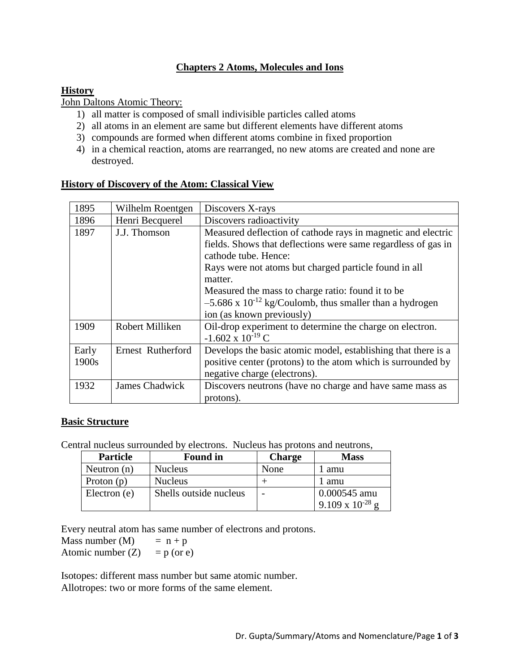# **Chapters 2 Atoms, Molecules and Ions**

#### **History**

John Daltons Atomic Theory:

- 1) all matter is composed of small indivisible particles called atoms
- 2) all atoms in an element are same but different elements have different atoms
- 3) compounds are formed when different atoms combine in fixed proportion
- 4) in a chemical reaction, atoms are rearranged, no new atoms are created and none are destroyed.

| 1895  | Wilhelm Roentgen      | Discovers X-rays                                                      |  |
|-------|-----------------------|-----------------------------------------------------------------------|--|
| 1896  | Henri Becquerel       | Discovers radioactivity                                               |  |
| 1897  | J.J. Thomson          | Measured deflection of cathode rays in magnetic and electric          |  |
|       |                       | fields. Shows that deflections were same regardless of gas in         |  |
|       |                       | cathode tube. Hence:                                                  |  |
|       |                       | Rays were not atoms but charged particle found in all                 |  |
|       |                       | matter.                                                               |  |
|       |                       | Measured the mass to charge ratio: found it to be.                    |  |
|       |                       | $-5.686$ x 10 <sup>-12</sup> kg/Coulomb, thus smaller than a hydrogen |  |
|       |                       | ion (as known previously)                                             |  |
| 1909  | Robert Milliken       | Oil-drop experiment to determine the charge on electron.              |  |
|       |                       | $-1.602 \times 10^{-19}$ C                                            |  |
| Early | Ernest Rutherford     | Develops the basic atomic model, establishing that there is a         |  |
| 1900s |                       | positive center (protons) to the atom which is surrounded by          |  |
|       |                       | negative charge (electrons).                                          |  |
| 1932  | <b>James Chadwick</b> | Discovers neutrons (have no charge and have same mass as              |  |
|       |                       | protons).                                                             |  |

#### **History of Discovery of the Atom: Classical View**

#### **Basic Structure**

Central nucleus surrounded by electrons. Nucleus has protons and neutrons,

| <b>Particle</b> | <b>Found in</b>        | <b>Charge</b> | <b>Mass</b>                               |
|-----------------|------------------------|---------------|-------------------------------------------|
| Neutron $(n)$   | <b>Nucleus</b>         | None          | amu                                       |
| Proton $(p)$    | <b>Nucleus</b>         | amu           |                                           |
| Electron (e)    | Shells outside nucleus |               | 0.000545 amu<br>$9.109 \times 10^{-28}$ g |

Every neutral atom has same number of electrons and protons.

Mass number  $(M)$  =  $n + p$ Atomic number  $(Z) = p$  (or e)

Isotopes: different mass number but same atomic number. Allotropes: two or more forms of the same element.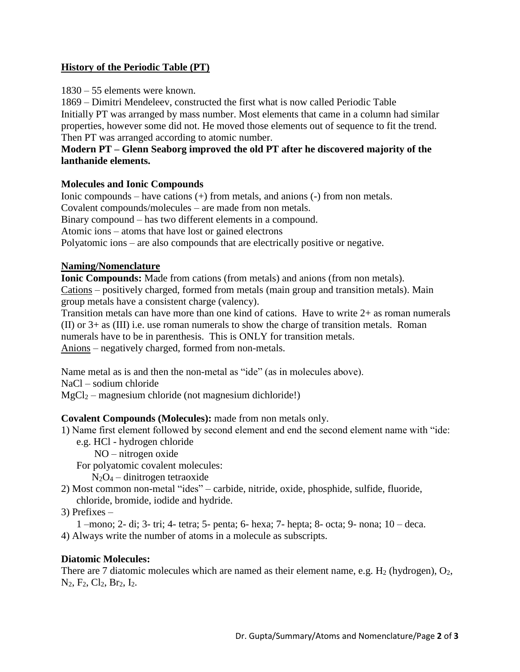## **History of the Periodic Table (PT)**

1830 – 55 elements were known.

1869 – Dimitri Mendeleev, constructed the first what is now called Periodic Table Initially PT was arranged by mass number. Most elements that came in a column had similar properties, however some did not. He moved those elements out of sequence to fit the trend. Then PT was arranged according to atomic number.

## **Modern PT – Glenn Seaborg improved the old PT after he discovered majority of the lanthanide elements.**

## **Molecules and Ionic Compounds**

Ionic compounds – have cations (+) from metals, and anions (-) from non metals. Covalent compounds/molecules – are made from non metals. Binary compound – has two different elements in a compound. Atomic ions – atoms that have lost or gained electrons Polyatomic ions – are also compounds that are electrically positive or negative.

# **Naming/Nomenclature**

**Ionic Compounds:** Made from cations (from metals) and anions (from non metals). Cations – positively charged, formed from metals (main group and transition metals). Main group metals have a consistent charge (valency).

Transition metals can have more than one kind of cations. Have to write 2+ as roman numerals (II) or 3+ as (III) i.e. use roman numerals to show the charge of transition metals. Roman numerals have to be in parenthesis. This is ONLY for transition metals. Anions – negatively charged, formed from non-metals.

Name metal as is and then the non-metal as "ide" (as in molecules above).

NaCl – sodium chloride

 $MgCl<sub>2</sub>$  – magnesium chloride (not magnesium dichloride!)

## **Covalent Compounds (Molecules):** made from non metals only.

1) Name first element followed by second element and end the second element name with "ide:

- e.g. HCl hydrogen chloride
	- NO nitrogen oxide

For polyatomic covalent molecules:

 $N_2O_4$  – dinitrogen tetraoxide

2) Most common non-metal "ides" – carbide, nitride, oxide, phosphide, sulfide, fluoride, chloride, bromide, iodide and hydride.

3) Prefixes –

1 –mono; 2- di; 3- tri; 4- tetra; 5- penta; 6- hexa; 7- hepta; 8- octa; 9- nona; 10 – deca. 4) Always write the number of atoms in a molecule as subscripts.

## **Diatomic Molecules:**

There are 7 diatomic molecules which are named as their element name, e.g.  $H_2$  (hydrogen),  $O_2$ ,  $N_2, F_2, Cl_2, Br_2, I_2.$